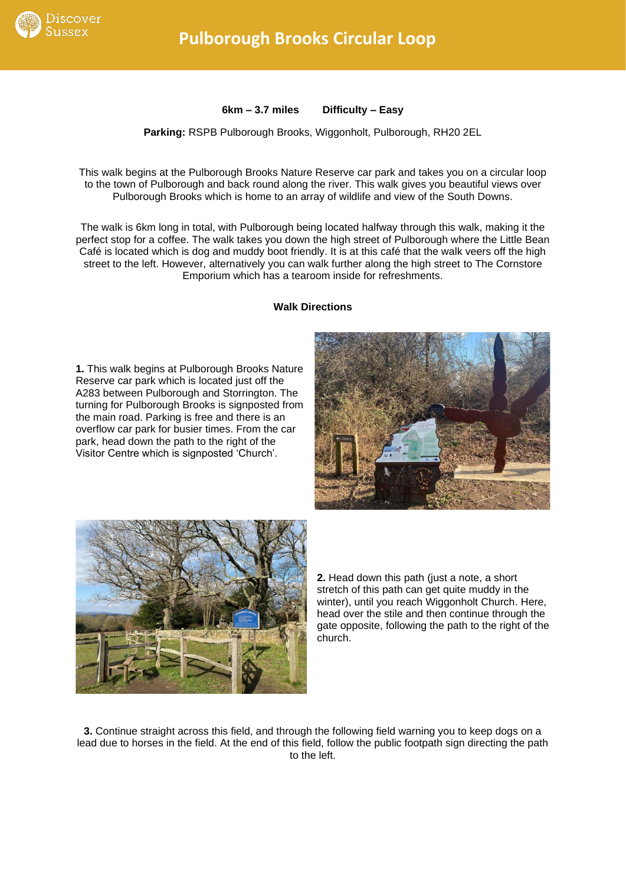

**6km – 3.7 miles Difficulty – Easy**

**Parking:** RSPB Pulborough Brooks, Wiggonholt, Pulborough, RH20 2EL

This walk begins at the Pulborough Brooks Nature Reserve car park and takes you on a circular loop to the town of Pulborough and back round along the river. This walk gives you beautiful views over Pulborough Brooks which is home to an array of wildlife and view of the South Downs.

The walk is 6km long in total, with Pulborough being located halfway through this walk, making it the perfect stop for a coffee. The walk takes you down the high street of Pulborough where the Little Bean Café is located which is dog and muddy boot friendly. It is at this café that the walk veers off the high street to the left. However, alternatively you can walk further along the high street to The Cornstore Emporium which has a tearoom inside for refreshments.

**Walk Directions**

**1.** This walk begins at Pulborough Brooks Nature Reserve car park which is located just off the A283 between Pulborough and Storrington. The turning for Pulborough Brooks is signposted from the main road. Parking is free and there is an overflow car park for busier times. From the car park, head down the path to the right of the Visitor Centre which is signposted 'Church'.





**2.** Head down this path (just a note, a short stretch of this path can get quite muddy in the winter), until you reach Wiggonholt Church. Here, head over the stile and then continue through the gate opposite, following the path to the right of the church.

**3.** Continue straight across this field, and through the following field warning you to keep dogs on a lead due to horses in the field. At the end of this field, follow the public footpath sign directing the path to the left.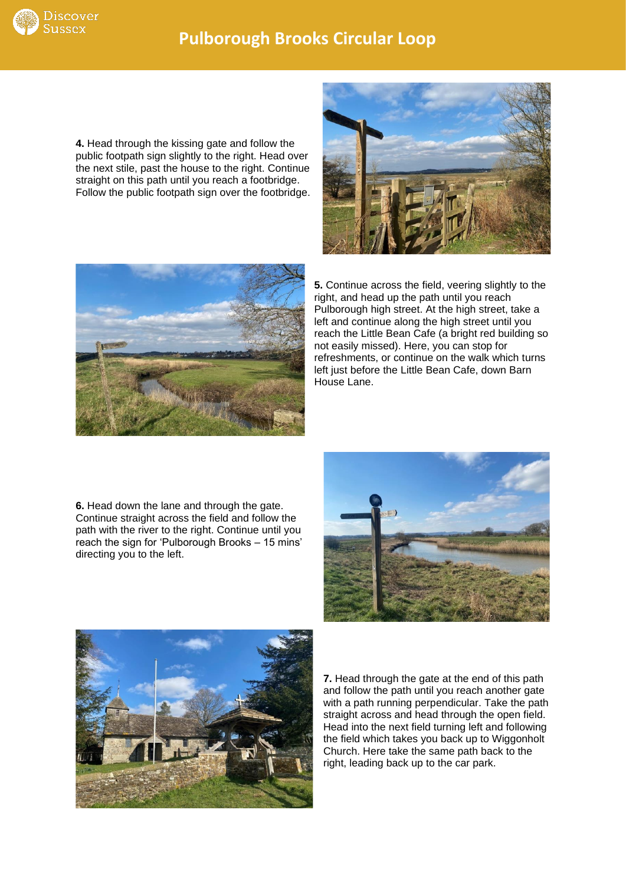

## **Pulborough Brooks Circular Loop**

**4.** Head through the kissing gate and follow the public footpath sign slightly to the right. Head over the next stile, past the house to the right. Continue straight on this path until you reach a footbridge. Follow the public footpath sign over the footbridge.





**5.** Continue across the field, veering slightly to the right, and head up the path until you reach Pulborough high street. At the high street, take a left and continue along the high street until you reach the Little Bean Cafe (a bright red building so not easily missed). Here, you can stop for refreshments, or continue on the walk which turns left just before the Little Bean Cafe, down Barn House Lane.

**6.** Head down the lane and through the gate. Continue straight across the field and follow the path with the river to the right. Continue until you reach the sign for 'Pulborough Brooks – 15 mins' directing you to the left.





**7.** Head through the gate at the end of this path and follow the path until you reach another gate with a path running perpendicular. Take the path straight across and head through the open field. Head into the next field turning left and following the field which takes you back up to Wiggonholt Church. Here take the same path back to the right, leading back up to the car park.